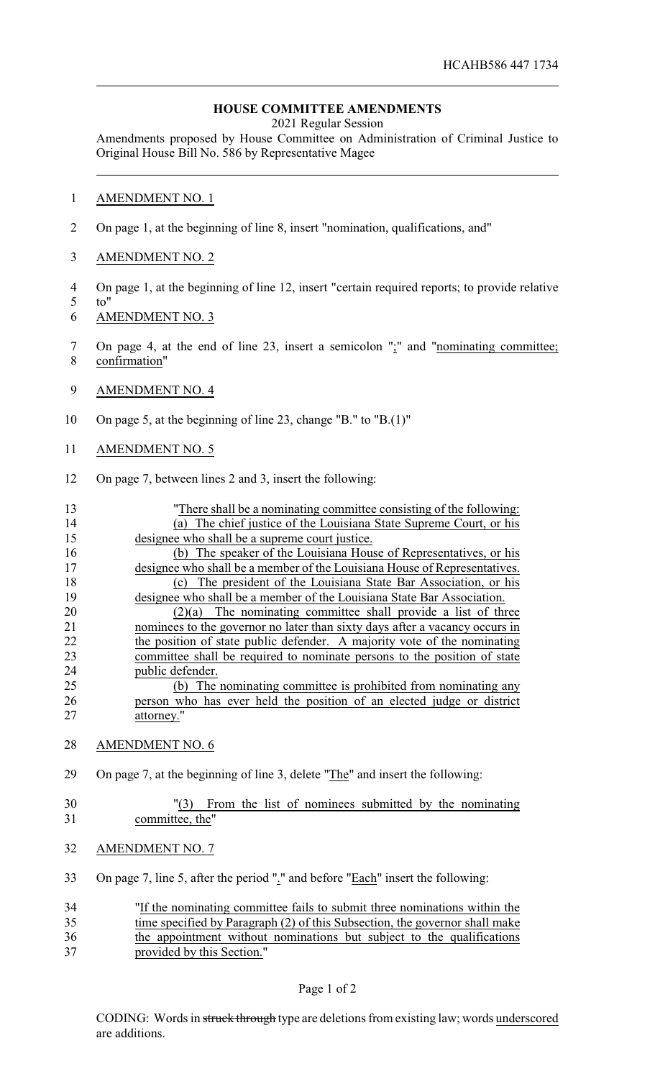## **HOUSE COMMITTEE AMENDMENTS**

2021 Regular Session

Amendments proposed by House Committee on Administration of Criminal Justice to Original House Bill No. 586 by Representative Magee

## 1 AMENDMENT NO. 1

- 2 On page 1, at the beginning of line 8, insert "nomination, qualifications, and"
- 3 AMENDMENT NO. 2
- 4 On page 1, at the beginning of line 12, insert "certain required reports; to provide relative
- 5 to"
- 6 AMENDMENT NO. 3
- 7 On page 4, at the end of line 23, insert a semicolon ";" and "nominating committee; 8 confirmation"
- 9 AMENDMENT NO. 4
- 10 On page 5, at the beginning of line 23, change "B." to "B.(1)"

## 11 AMENDMENT NO. 5

12 On page 7, between lines 2 and 3, insert the following:

| 13 | "There shall be a nominating committee consisting of the following:             |
|----|---------------------------------------------------------------------------------|
| 14 | (a) The chief justice of the Louisiana State Supreme Court, or his              |
| 15 | designee who shall be a supreme court justice.                                  |
| 16 | (b) The speaker of the Louisiana House of Representatives, or his               |
| 17 | designee who shall be a member of the Louisiana House of Representatives.       |
| 18 | (c) The president of the Louisiana State Bar Association, or his                |
| 19 | designee who shall be a member of the Louisiana State Bar Association.          |
| 20 | The nominating committee shall provide a list of three<br>(2)(a)                |
| 21 | nominees to the governor no later than sixty days after a vacancy occurs in     |
| 22 | the position of state public defender. A majority vote of the nominating        |
| 23 | committee shall be required to nominate persons to the position of state        |
| 24 | public defender.                                                                |
| 25 | (b) The nominating committee is prohibited from nominating any                  |
| 26 | person who has ever held the position of an elected judge or district           |
| 27 | attorney."                                                                      |
|    |                                                                                 |
| 28 | <b>AMENDMENT NO. 6</b>                                                          |
| 29 | On page 7, at the beginning of line 3, delete "The" and insert the following:   |
|    |                                                                                 |
| 30 | From the list of nominees submitted by the nominating<br>"(3)                   |
| 31 | committee, the"                                                                 |
| 32 | <b>AMENDMENT NO. 7</b>                                                          |
| 33 | On page 7, line 5, after the period "." and before "Each" insert the following: |
| 34 | "If the nominating committee fails to submit three nominations within the       |
| 35 | time specified by Paragraph (2) of this Subsection, the governor shall make     |
| 36 | the appointment without nominations but subject to the qualifications           |

CODING: Words in struck through type are deletions from existing law; words underscored are additions.